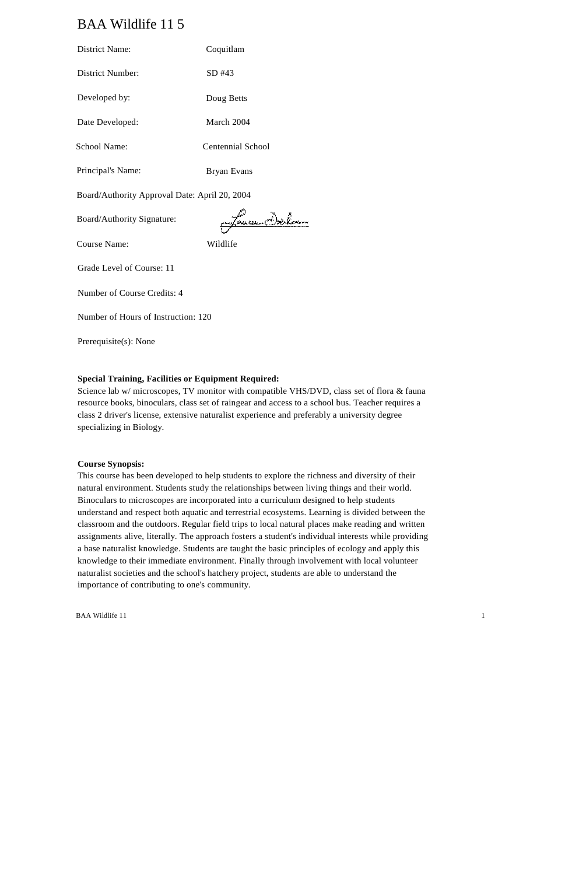# BAA Wildlife 11 5

| <b>District Name:</b>                         | Coquitlam               |  |
|-----------------------------------------------|-------------------------|--|
| <b>District Number:</b>                       | SD #43                  |  |
| Developed by:                                 | Doug Betts              |  |
| Date Developed:                               | March 2004              |  |
| <b>School Name:</b>                           | Centennial School       |  |
| Principal's Name:                             | <b>Bryan Evans</b>      |  |
| Board/Authority Approval Date: April 20, 2004 |                         |  |
| Board/Authority Signature:                    | <u> jagtauna Dorlan</u> |  |
| Course Name:                                  | Wildlife                |  |
| Grade Level of Course: 11                     |                         |  |
| Number of Course Credits: 4                   |                         |  |
| Number of Hours of Instruction: 120           |                         |  |
| Prerequisite(s): None                         |                         |  |

## **Special Training, Facilities or Equipment Required:**

Science lab w/ microscopes, TV monitor with compatible VHS/DVD, class set of flora & fauna resource books, binoculars, class set of raingear and access to a school bus. Teacher requires a class 2 driver's license, extensive naturalist experience and preferably a university degree specializing in Biology.

#### **Course Synopsis:**

This course has been developed to help students to explore the richness and diversity of their natural environment. Students study the relationships between living things and their world. Binoculars to microscopes are incorporated into a curriculum designed to help students understand and respect both aquatic and terrestrial ecosystems. Learning is divided between the classroom and the outdoors. Regular field trips to local natural places make reading and written assignments alive, literally. The approach fosters a student's individual interests while providing a base naturalist knowledge. Students are taught the basic principles of ecology and apply this knowledge to their immediate environment. Finally through involvement with local volunteer naturalist societies and the school's hatchery project, students are able to understand the importance of contributing to one's community.

BAA Wildlife 11 1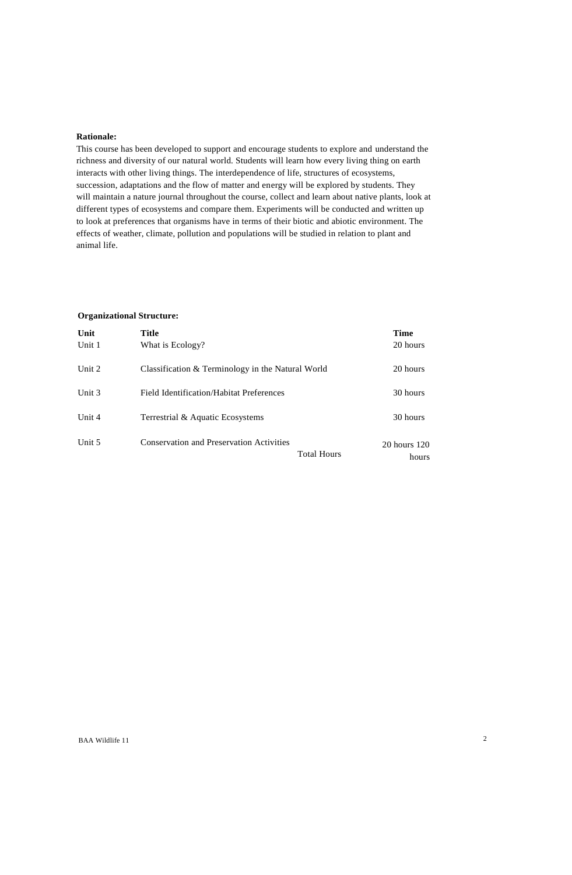#### **Rationale:**

This course has been developed to support and encourage students to explore and understand the richness and diversity of our natural world. Students will learn how every living thing on earth interacts with other living things. The interdependence of life, structures of ecosystems, succession, adaptations and the flow of matter and energy will be explored by students. They will maintain a nature journal throughout the course, collect and learn about native plants, look at different types of ecosystems and compare them. Experiments will be conducted and written up to look at preferences that organisms have in terms of their biotic and abiotic environment. The effects of weather, climate, pollution and populations will be studied in relation to plant and animal life.

#### **Organizational Structure:**

| Unit<br>Unit 1 | <b>Title</b><br>What is Ecology?                                      | <b>Time</b><br>20 hours |
|----------------|-----------------------------------------------------------------------|-------------------------|
| Unit 2         | Classification & Terminology in the Natural World                     | 20 hours                |
| Unit 3         | Field Identification/Habitat Preferences                              | 30 hours                |
| Unit $4$       | Terrestrial & Aquatic Ecosystems                                      | 30 hours                |
| Unit 5         | <b>Conservation and Preservation Activities</b><br><b>Total Hours</b> | 20 hours 120<br>hours   |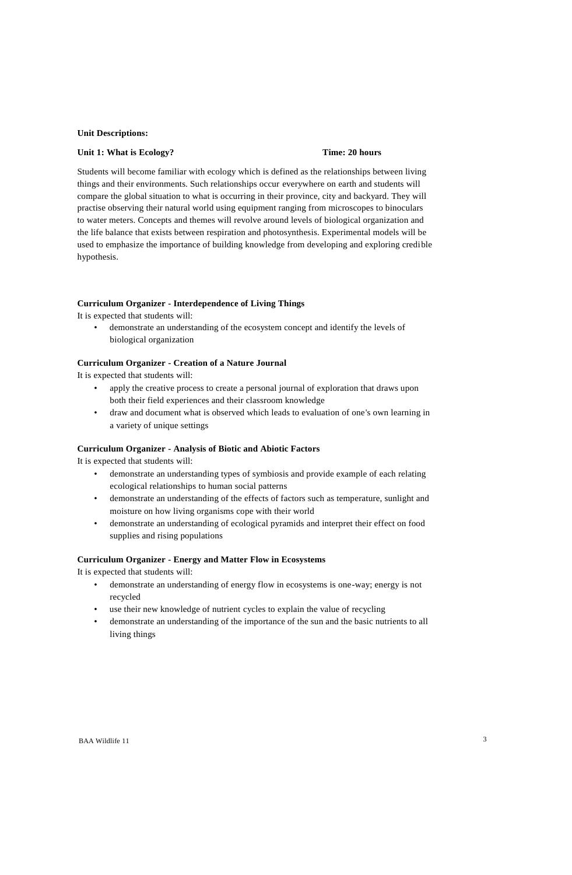#### **Unit Descriptions:**

### **Unit 1: What is Ecology? Time: 20 hours**

Students will become familiar with ecology which is defined as the relationships between living things and their environments. Such relationships occur everywhere on earth and students will compare the global situation to what is occurring in their province, city and backyard. They will practise observing their natural world using equipment ranging from microscopes to binoculars to water meters. Concepts and themes will revolve around levels of biological organization and the life balance that exists between respiration and photosynthesis. Experimental models will be used to emphasize the importance of building knowledge from developing and exploring credible hypothesis.

## **Curriculum Organizer - Interdependence of Living Things**

It is expected that students will:

• demonstrate an understanding of the ecosystem concept and identify the levels of biological organization

### **Curriculum Organizer - Creation of a Nature Journal**

It is expected that students will:

- apply the creative process to create a personal journal of exploration that draws upon both their field experiences and their classroom knowledge
- draw and document what is observed which leads to evaluation of one's own learning in a variety of unique settings

#### **Curriculum Organizer - Analysis of Biotic and Abiotic Factors**

It is expected that students will:

- demonstrate an understanding types of symbiosis and provide example of each relating ecological relationships to human social patterns
- demonstrate an understanding of the effects of factors such as temperature, sunlight and moisture on how living organisms cope with their world
- demonstrate an understanding of ecological pyramids and interpret their effect on food supplies and rising populations

#### **Curriculum Organizer - Energy and Matter Flow in Ecosystems**

- demonstrate an understanding of energy flow in ecosystems is one-way; energy is not recycled
- use their new knowledge of nutrient cycles to explain the value of recycling
- demonstrate an understanding of the importance of the sun and the basic nutrients to all living things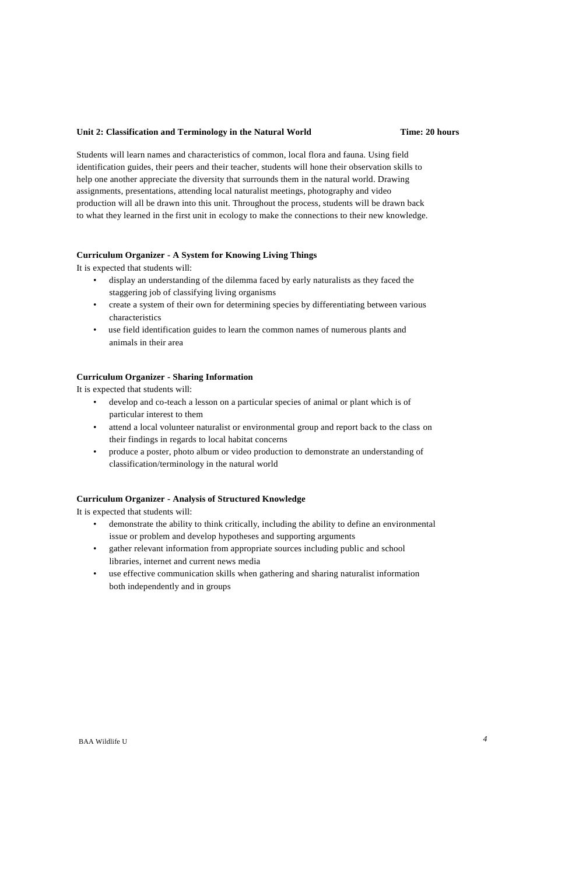## **Unit 2: Classification and Terminology in the Natural World Time: 20 hours**

Students will learn names and characteristics of common, local flora and fauna. Using field identification guides, their peers and their teacher, students will hone their observation skills to help one another appreciate the diversity that surrounds them in the natural world. Drawing assignments, presentations, attending local naturalist meetings, photography and video production will all be drawn into this unit. Throughout the process, students will be drawn back to what they learned in the first unit in ecology to make the connections to their new knowledge.

## **Curriculum Organizer - A System for Knowing Living Things**

It is expected that students will:

- display an understanding of the dilemma faced by early naturalists as they faced the staggering job of classifying living organisms
- create a system of their own for determining species by differentiating between various characteristics
- use field identification guides to learn the common names of numerous plants and animals in their area

## **Curriculum Organizer - Sharing Information**

It is expected that students will:

- develop and co-teach a lesson on a particular species of animal or plant which is of particular interest to them
- attend a local volunteer naturalist or environmental group and report back to the class on their findings in regards to local habitat concerns
- produce a poster, photo album or video production to demonstrate an understanding of classification/terminology in the natural world

## **Curriculum Organizer - Analysis of Structured Knowledge**

- demonstrate the ability to think critically, including the ability to define an environmental issue or problem and develop hypotheses and supporting arguments
- gather relevant information from appropriate sources including public and school libraries, internet and current news media
- use effective communication skills when gathering and sharing naturalist information both independently and in groups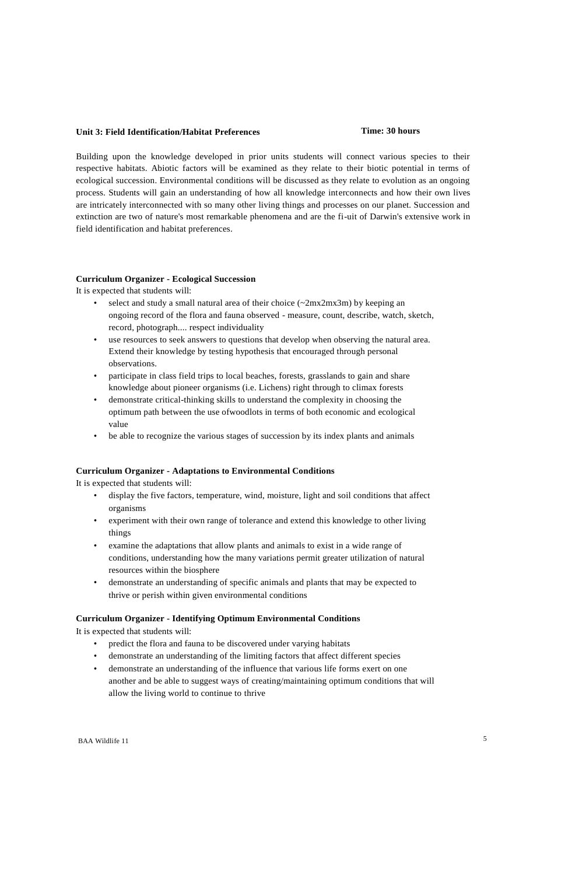## **Unit 3: Field Identification/Habitat Preferences Time: 30 hours**

Building upon the knowledge developed in prior units students will connect various species to their respective habitats. Abiotic factors will be examined as they relate to their biotic potential in terms of ecological succession. Environmental conditions will be discussed as they relate to evolution as an ongoing process. Students will gain an understanding of how all knowledge interconnects and how their own lives are intricately interconnected with so many other living things and processes on our planet. Succession and extinction are two of nature's most remarkable phenomena and are the fi-uit of Darwin's extensive work in field identification and habitat preferences.

#### **Curriculum Organizer - Ecological Succession**

It is expected that students will:

- select and study a small natural area of their choice  $(\sim 2mx2mx3m)$  by keeping an ongoing record of the flora and fauna observed - measure, count, describe, watch, sketch, record, photograph.... respect individuality
- use resources to seek answers to questions that develop when observing the natural area. Extend their knowledge by testing hypothesis that encouraged through personal observations.
- participate in class field trips to local beaches, forests, grasslands to gain and share knowledge about pioneer organisms (i.e. Lichens) right through to climax forests
- demonstrate critical-thinking skills to understand the complexity in choosing the optimum path between the use ofwoodlots in terms of both economic and ecological value
- be able to recognize the various stages of succession by its index plants and animals

## **Curriculum Organizer - Adaptations to Environmental Conditions**

It is expected that students will:

- display the five factors, temperature, wind, moisture, light and soil conditions that affect organisms
- experiment with their own range of tolerance and extend this knowledge to other living things
- examine the adaptations that allow plants and animals to exist in a wide range of conditions, understanding how the many variations permit greater utilization of natural resources within the biosphere
- demonstrate an understanding of specific animals and plants that may be expected to thrive or perish within given environmental conditions

## **Curriculum Organizer - Identifying Optimum Environmental Conditions**

It is expected that students will:

- predict the flora and fauna to be discovered under varying habitats
- demonstrate an understanding of the limiting factors that affect different species
- demonstrate an understanding of the influence that various life forms exert on one another and be able to suggest ways of creating/maintaining optimum conditions that will allow the living world to continue to thrive

BAA Wildlife 11 5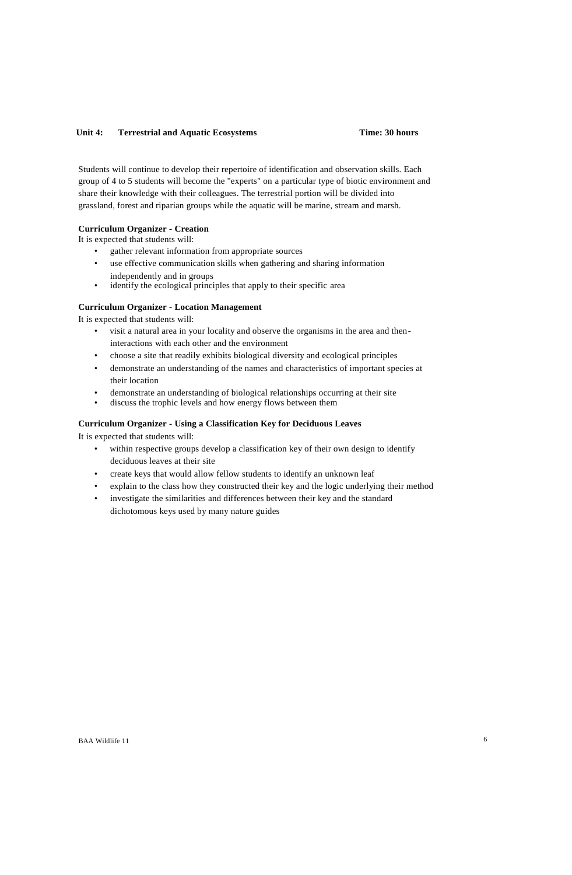## Unit 4: **Terrestrial and Aquatic Ecosystems Time: 30 hours**

Students will continue to develop their repertoire of identification and observation skills. Each group of 4 to 5 students will become the "experts" on a particular type of biotic environment and share their knowledge with their colleagues. The terrestrial portion will be divided into grassland, forest and riparian groups while the aquatic will be marine, stream and marsh.

## **Curriculum Organizer - Creation**

It is expected that students will:

- gather relevant information from appropriate sources
- use effective communication skills when gathering and sharing information independently and in groups
- identify the ecological principles that apply to their specific area

## **Curriculum Organizer - Location Management**

It is expected that students will:

- visit a natural area in your locality and observe the organisms in the area and theninteractions with each other and the environment
- choose a site that readily exhibits biological diversity and ecological principles
- demonstrate an understanding of the names and characteristics of important species at their location
- demonstrate an understanding of biological relationships occurring at their site
- discuss the trophic levels and how energy flows between them

#### **Curriculum Organizer - Using a Classification Key for Deciduous Leaves**

- within respective groups develop a classification key of their own design to identify deciduous leaves at their site
- create keys that would allow fellow students to identify an unknown leaf
- explain to the class how they constructed their key and the logic underlying their method
- investigate the similarities and differences between their key and the standard dichotomous keys used by many nature guides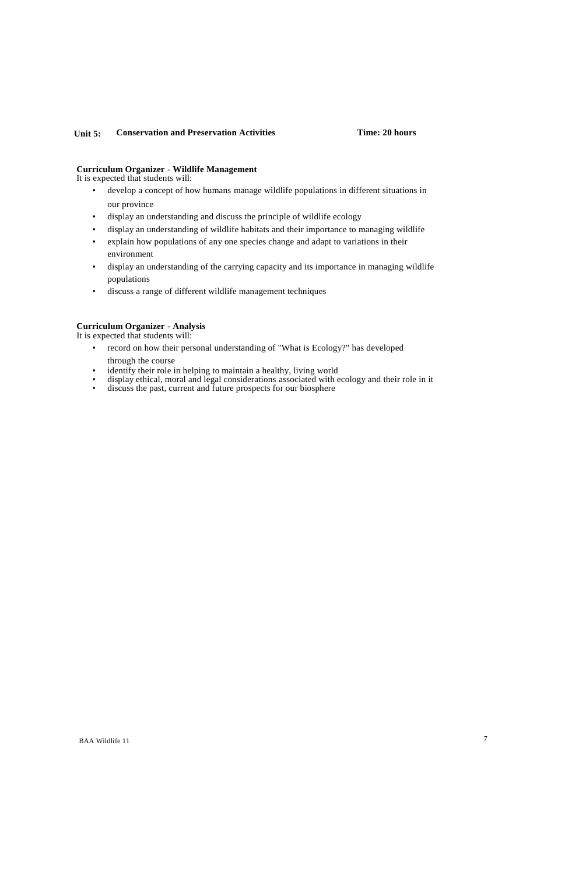## **Unit 5: Conservation and Preservation Activities Time: 20 hours**

#### **Curriculum Organizer - Wildlife Management**

It is expected that students will:

- develop a concept of how humans manage wildlife populations in different situations in our province
- display an understanding and discuss the principle of wildlife ecology
- display an understanding of wildlife habitats and their importance to managing wildlife
- explain how populations of any one species change and adapt to variations in their environment
- display an understanding of the carrying capacity and its importance in managing wildlife populations
- discuss a range of different wildlife management techniques

#### **Curriculum Organizer - Analysis**

- record on how their personal understanding of "What is Ecology?" has developed through the course
- identify their role in helping to maintain a healthy, living world
- display ethical, moral and legal considerations associated with ecology and their role in it
- discuss the past, current and future prospects for our biosphere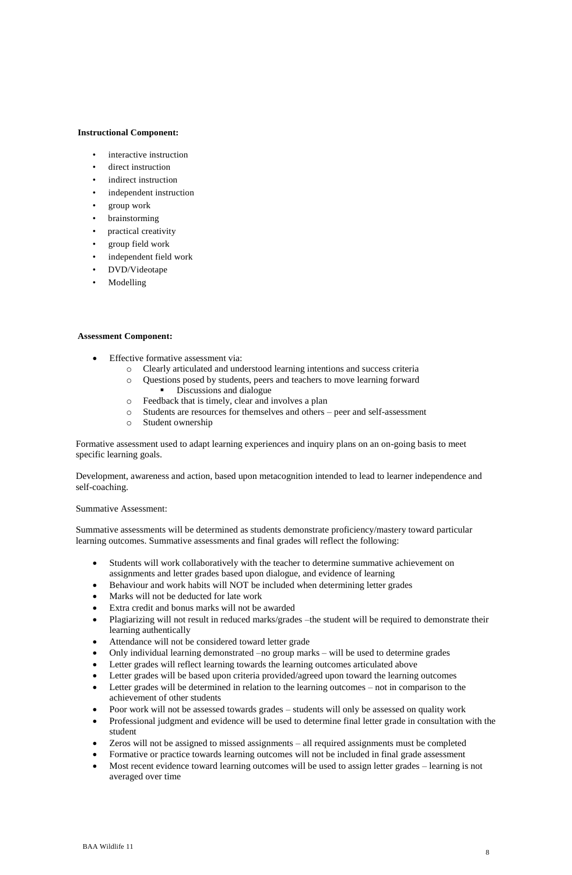### **Instructional Component:**

- interactive instruction
- direct instruction
- indirect instruction
- independent instruction
- group work
- **brainstorming**
- practical creativity
- group field work
- independent field work
- DVD/Videotape
- Modelling

## **Assessment Component:**

- Effective formative assessment via:
	- o Clearly articulated and understood learning intentions and success criteria
	- o Questions posed by students, peers and teachers to move learning forward Discussions and dialogue
	- o Feedback that is timely, clear and involves a plan
	- o Students are resources for themselves and others peer and self-assessment
	- o Student ownership

Formative assessment used to adapt learning experiences and inquiry plans on an on-going basis to meet specific learning goals.

Development, awareness and action, based upon metacognition intended to lead to learner independence and self-coaching.

#### Summative Assessment:

Summative assessments will be determined as students demonstrate proficiency/mastery toward particular learning outcomes. Summative assessments and final grades will reflect the following:

- Students will work collaboratively with the teacher to determine summative achievement on assignments and letter grades based upon dialogue, and evidence of learning
- Behaviour and work habits will NOT be included when determining letter grades
- Marks will not be deducted for late work
- Extra credit and bonus marks will not be awarded
- Plagiarizing will not result in reduced marks/grades –the student will be required to demonstrate their learning authentically
- Attendance will not be considered toward letter grade
- Only individual learning demonstrated –no group marks will be used to determine grades
- Letter grades will reflect learning towards the learning outcomes articulated above
- Letter grades will be based upon criteria provided/agreed upon toward the learning outcomes
- Letter grades will be determined in relation to the learning outcomes not in comparison to the achievement of other students
- Poor work will not be assessed towards grades students will only be assessed on quality work
- Professional judgment and evidence will be used to determine final letter grade in consultation with the student
- Zeros will not be assigned to missed assignments all required assignments must be completed
- Formative or practice towards learning outcomes will not be included in final grade assessment
- Most recent evidence toward learning outcomes will be used to assign letter grades learning is not averaged over time